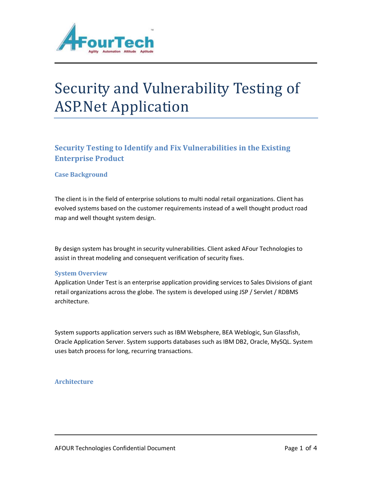

# Security and Vulnerability Testing of ASP.Net Application

## **Security Testing to Identify and Fix Vulnerabilities in the Existing Enterprise Product**

#### **Case Background**

The client is in the field of enterprise solutions to multi nodal retail organizations. Client has evolved systems based on the customer requirements instead of a well thought product road map and well thought system design.

By design system has brought in security vulnerabilities. Client asked AFour Technologies to assist in threat modeling and consequent verification of security fixes.

#### **System Overview**

Application Under Test is an enterprise application providing services to Sales Divisions of giant retail organizations across the globe. The system is developed using JSP / Servlet / RDBMS architecture.

System supports application servers such as IBM Websphere, BEA Weblogic, Sun Glassfish, Oracle Application Server. System supports databases such as IBM DB2, Oracle, MySQL. System uses batch process for long, recurring transactions.

#### **Architecture**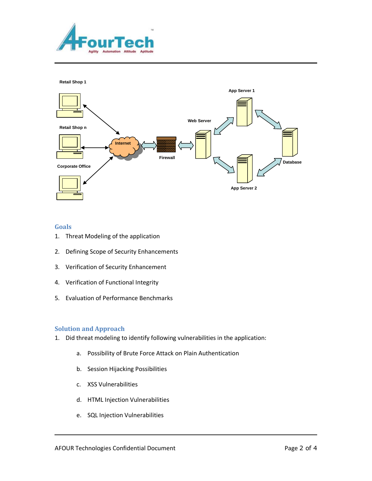



#### **Goals**

- 1. Threat Modeling of the application
- 2. Defining Scope of Security Enhancements
- 3. Verification of Security Enhancement
- 4. Verification of Functional Integrity
- 5. Evaluation of Performance Benchmarks

#### **Solution and Approach**

- 1. Did threat modeling to identify following vulnerabilities in the application:
	- a. Possibility of Brute Force Attack on Plain Authentication
	- b. Session Hijacking Possibilities
	- c. XSS Vulnerabilities
	- d. HTML Injection Vulnerabilities
	- e. SQL Injection Vulnerabilities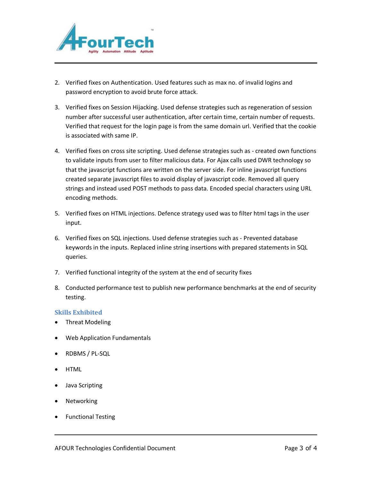

- 2. Verified fixes on Authentication. Used features such as max no. of invalid logins and password encryption to avoid brute force attack.
- 3. Verified fixes on Session Hijacking. Used defense strategies such as regeneration of session number after successful user authentication, after certain time, certain number of requests. Verified that request for the login page is from the same domain url. Verified that the cookie is associated with same IP.
- 4. Verified fixes on cross site scripting. Used defense strategies such as created own functions to validate inputs from user to filter malicious data. For Ajax calls used DWR technology so that the javascript functions are written on the server side. For inline javascript functions created separate javascript files to avoid display of javascript code. Removed all query strings and instead used POST methods to pass data. Encoded special characters using URL encoding methods.
- 5. Verified fixes on HTML injections. Defence strategy used was to filter html tags in the user input.
- 6. Verified fixes on SQL injections. Used defense strategies such as Prevented database keywords in the inputs. Replaced inline string insertions with prepared statements in SQL queries.
- 7. Verified functional integrity of the system at the end of security fixes
- 8. Conducted performance test to publish new performance benchmarks at the end of security testing.

#### **Skills Exhibited**

- Threat Modeling
- Web Application Fundamentals
- RDBMS / PL-SQL
- HTML
- Java Scripting
- Networking
- **•** Functional Testing